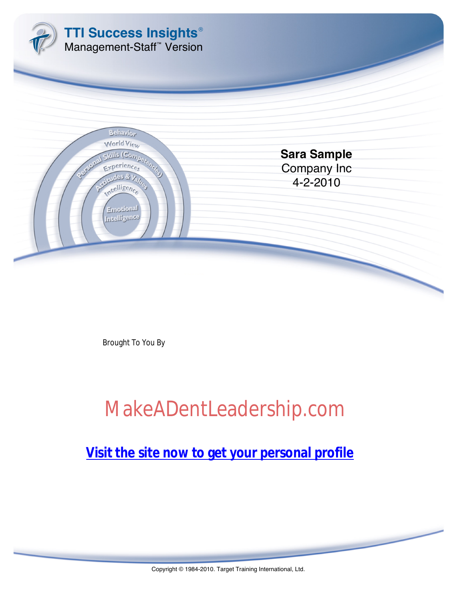

Brought To You By

# [MakeADentLeadership.com](http://www.makeadentleadership.com/disc.html)

<u>company in the set of the set of the set of the set of the set of the set of the set of the set of the set of the set of the set of the set of the set of the set of the set of the set of the set of the set of the set of t</u> <u>Visit the site now to get your personal profile</u>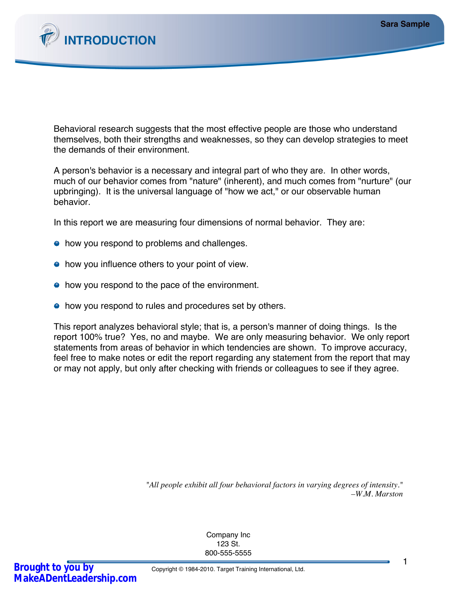

Behavioral research suggests that the most effective people are those who understand themselves, both their strengths and weaknesses, so they can develop strategies to meet the demands of their environment.

A person's behavior is a necessary and integral part of who they are. In other words, much of our behavior comes from "nature" (inherent), and much comes from "nurture" (our upbringing). It is the universal language of "how we act," or our observable human behavior.

In this report we are measuring four dimensions of normal behavior. They are:

- how you respond to problems and challenges.
- how you influence others to your point of view.
- how you respond to the pace of the environment.
- how you respond to rules and procedures set by others.

This report analyzes behavioral style; that is, a person's manner of doing things. Is the report 100% true? Yes, no and maybe. We are only measuring behavior. We only report statements from areas of behavior in which tendencies are shown. To improve accuracy, feel free to make notes or edit the report regarding any statement from the report that may or may not apply, but only after checking with friends or colleagues to see if they agree.

> *"All people exhibit all four behavioral factors in varying degrees of intensity." –W.M. Marston*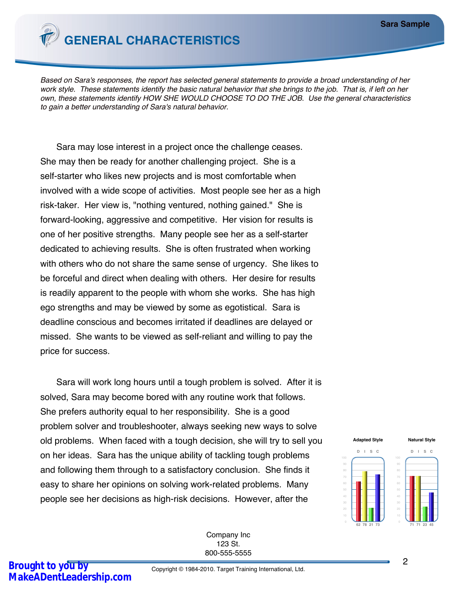

*Based on Sara's responses, the report has selected general statements to provide a broad understanding of her work style. These statements identify the basic natural behavior that she brings to the job. That is, if left on her own, these statements identify HOW SHE WOULD CHOOSE TO DO THE JOB. Use the general characteristics to gain a better understanding of Sara's natural behavior.*

Sara may lose interest in a project once the challenge ceases. She may then be ready for another challenging project. She is a self-starter who likes new projects and is most comfortable when involved with a wide scope of activities. Most people see her as a high risk-taker. Her view is, "nothing ventured, nothing gained." She is forward-looking, aggressive and competitive. Her vision for results is one of her positive strengths. Many people see her as a self-starter dedicated to achieving results. She is often frustrated when working with others who do not share the same sense of urgency. She likes to be forceful and direct when dealing with others. Her desire for results is readily apparent to the people with whom she works. She has high ego strengths and may be viewed by some as egotistical. Sara is deadline conscious and becomes irritated if deadlines are delayed or missed. She wants to be viewed as self-reliant and willing to pay the price for success.

Sara will work long hours until a tough problem is solved. After it is solved, Sara may become bored with any routine work that follows. She prefers authority equal to her responsibility. She is a good problem solver and troubleshooter, always seeking new ways to solve old problems. When faced with a tough decision, she will try to sell you on her ideas. Sara has the unique ability of tackling tough problems and following them through to a satisfactory conclusion. She finds it easy to share her opinions on solving work-related problems. Many people see her decisions as high-risk decisions. However, after the

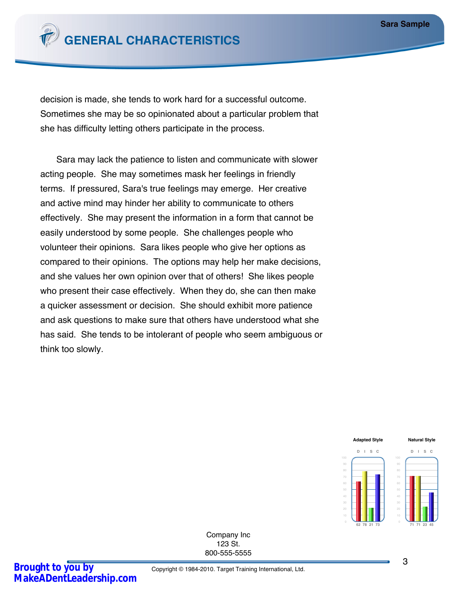

decision is made, she tends to work hard for a successful outcome. Sometimes she may be so opinionated about a particular problem that she has difficulty letting others participate in the process.

Sara may lack the patience to listen and communicate with slower acting people. She may sometimes mask her feelings in friendly terms. If pressured, Sara's true feelings may emerge. Her creative and active mind may hinder her ability to communicate to others effectively. She may present the information in a form that cannot be easily understood by some people. She challenges people who volunteer their opinions. Sara likes people who give her options as compared to their opinions. The options may help her make decisions, and she values her own opinion over that of others! She likes people who present their case effectively. When they do, she can then make a quicker assessment or decision. She should exhibit more patience and ask questions to make sure that others have understood what she has said. She tends to be intolerant of people who seem ambiguous or think too slowly.

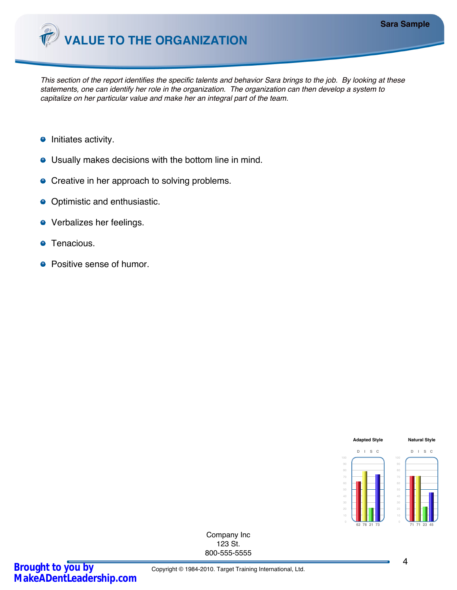

*This section of the report identifies the specific talents and behavior Sara brings to the job. By looking at these statements, one can identify her role in the organization. The organization can then develop a system to capitalize on her particular value and make her an integral part of the team.*

- $\bullet$  Initiates activity.
- Usually makes decisions with the bottom line in mind.
- Creative in her approach to solving problems.
- Optimistic and enthusiastic.
- Verbalizes her feelings.
- Tenacious.  $\bullet$
- Positive sense of humor.

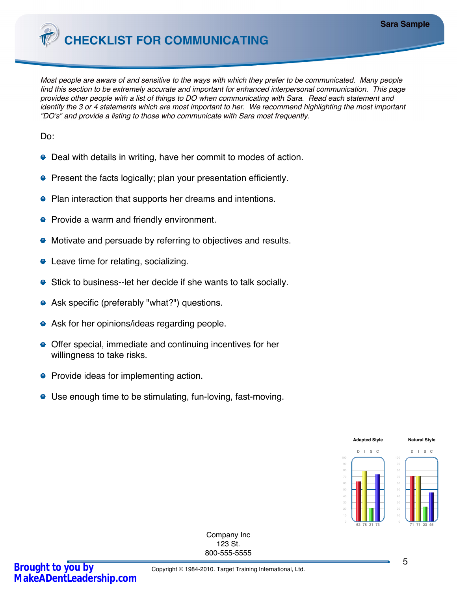**CHECKLIST FOR COMMUNICATING**

*Most people are aware of and sensitive to the ways with which they prefer to be communicated. Many people find this section to be extremely accurate and important for enhanced interpersonal communication. This page provides other people with a list of things to DO when communicating with Sara. Read each statement and identify the 3 or 4 statements which are most important to her. We recommend highlighting the most important "DO's" and provide a listing to those who communicate with Sara most frequently.*

Do:

- Deal with details in writing, have her commit to modes of action.
- **•** Present the facts logically; plan your presentation efficiently.
- Plan interaction that supports her dreams and intentions.
- Provide a warm and friendly environment.
- Motivate and persuade by referring to objectives and results.
- Leave time for relating, socializing.
- Stick to business--let her decide if she wants to talk socially.
- Ask specific (preferably "what?") questions.
- Ask for her opinions/ideas regarding people.
- Offer special, immediate and continuing incentives for her willingness to take risks.
- **•** Provide ideas for implementing action.
- Use enough time to be stimulating, fun-loving, fast-moving.

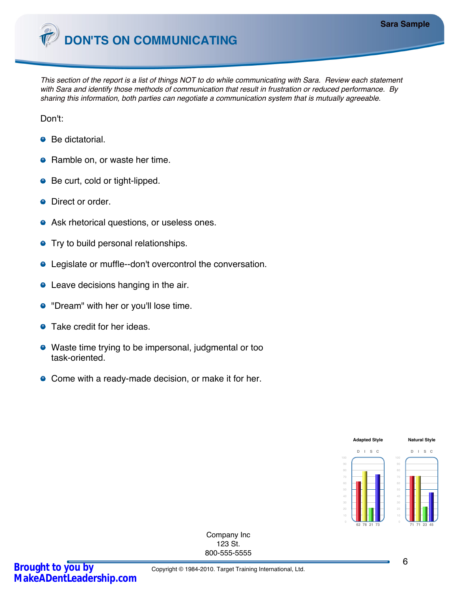

*This section of the report is a list of things NOT to do while communicating with Sara. Review each statement with Sara and identify those methods of communication that result in frustration or reduced performance. By sharing this information, both parties can negotiate a communication system that is mutually agreeable.*

Don't:

- Be dictatorial.
- Ramble on, or waste her time.
- Be curt, cold or tight-lipped.
- Direct or order.
- **•** Ask rhetorical questions, or useless ones.
- **•** Try to build personal relationships.
- Legislate or muffle--don't overcontrol the conversation.
- Leave decisions hanging in the air.
- "Dream" with her or you'll lose time.
- **•** Take credit for her ideas.
- Waste time trying to be impersonal, judgmental or too task-oriented.
- Come with a ready-made decision, or make it for her.

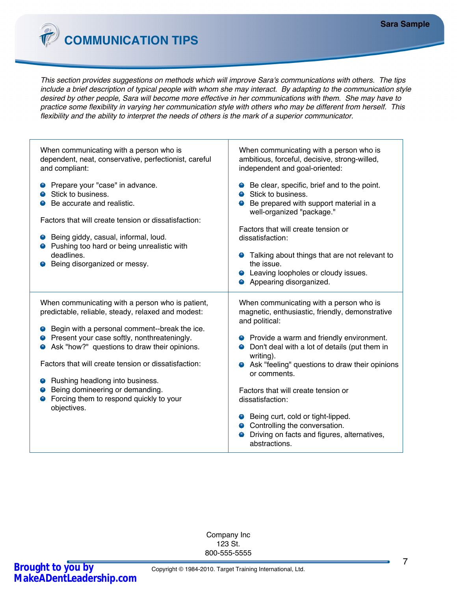**COMMUNICATION TIPS**

*This section provides suggestions on methods which will improve Sara's communications with others. The tips include a brief description of typical people with whom she may interact. By adapting to the communication style desired by other people, Sara will become more effective in her communications with them. She may have to practice some flexibility in varying her communication style with others who may be different from herself. This flexibility and the ability to interpret the needs of others is the mark of a superior communicator.*

| When communicating with a person who is<br>ambitious, forceful, decisive, strong-willed,<br>independent and goal-oriented:                                                                                                                                                                                                                                                                                                                                                          |
|-------------------------------------------------------------------------------------------------------------------------------------------------------------------------------------------------------------------------------------------------------------------------------------------------------------------------------------------------------------------------------------------------------------------------------------------------------------------------------------|
| • Be clear, specific, brief and to the point.<br>Stick to business.<br>Be prepared with support material in a<br>0<br>well-organized "package."<br>Factors that will create tension or<br>dissatisfaction:<br>• Talking about things that are not relevant to<br>the issue.<br>• Leaving loopholes or cloudy issues.<br>Appearing disorganized.                                                                                                                                     |
| When communicating with a person who is<br>magnetic, enthusiastic, friendly, demonstrative<br>and political:<br>• Provide a warm and friendly environment.<br>Don't deal with a lot of details (put them in<br>0<br>writing).<br>• Ask "feeling" questions to draw their opinions<br>or comments.<br>Factors that will create tension or<br>dissatisfaction:<br>● Being curt, cold or tight-lipped.<br>Controlling the conversation.<br>Driving on facts and figures, alternatives, |
|                                                                                                                                                                                                                                                                                                                                                                                                                                                                                     |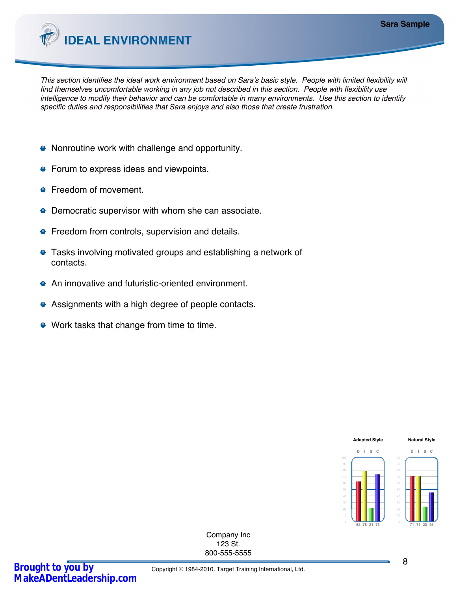

*This section identifies the ideal work environment based on Sara's basic style. People with limited flexibility will find themselves uncomfortable working in any job not described in this section. People with flexibility use intelligence to modify their behavior and can be comfortable in many environments. Use this section to identify specific duties and responsibilities that Sara enjoys and also those that create frustration.*

- Nonroutine work with challenge and opportunity.
- **•** Forum to express ideas and viewpoints.
- **•** Freedom of movement.
- Democratic supervisor with whom she can associate.  $\bullet$
- **•** Freedom from controls, supervision and details.
- Tasks involving motivated groups and establishing a network of contacts.
- An innovative and futuristic-oriented environment.
- Assignments with a high degree of people contacts.
- Work tasks that change from time to time.

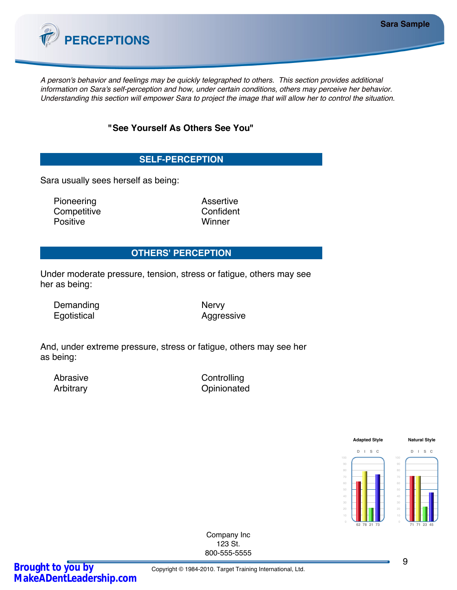

*A person's behavior and feelings may be quickly telegraphed to others. This section provides additional information on Sara's self-perception and how, under certain conditions, others may perceive her behavior. Understanding this section will empower Sara to project the image that will allow her to control the situation.*

# **"See Yourself As Others See You"**

# **SELF-PERCEPTION**

Sara usually sees herself as being:

Pioneering **Assertive** Competitive Confident Positive Winner

# **OTHERS' PERCEPTION**

Under moderate pressure, tension, stress or fatigue, others may see her as being:

Demanding Nervy Egotistical Aggressive

And, under extreme pressure, stress or fatigue, others may see her as being:

Abrasive Controlling Arbitrary **Opinionated** 

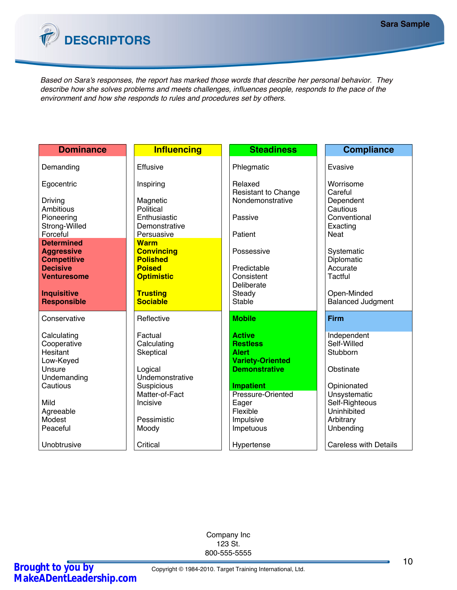

*Based on Sara's responses, the report has marked those words that describe her personal behavior. They describe how she solves problems and meets challenges, influences people, responds to the pace of the environment and how she responds to rules and procedures set by others.*

| <b>Dominance</b>                         | <b>Influencing</b>                 | <b>Steadiness</b>                               | <b>Compliance</b>                       |
|------------------------------------------|------------------------------------|-------------------------------------------------|-----------------------------------------|
| Demanding                                | Effusive                           | Phlegmatic                                      | Evasive                                 |
|                                          |                                    |                                                 |                                         |
| Egocentric                               | Inspiring                          | Relaxed                                         | Worrisome                               |
| Driving                                  | Magnetic                           | <b>Resistant to Change</b><br>Nondemonstrative  | Careful<br>Dependent                    |
| Ambitious                                | Political                          |                                                 | Cautious                                |
| Pioneering                               | Enthusiastic                       | Passive                                         | Conventional                            |
| Strong-Willed<br>Forceful                | Demonstrative<br>Persuasive        | Patient                                         | Exacting<br>Neat                        |
| <b>Determined</b>                        | <b>Warm</b>                        |                                                 |                                         |
| <b>Aggressive</b>                        | <b>Convincing</b>                  | Possessive                                      | Systematic                              |
| <b>Competitive</b><br><b>Decisive</b>    | <b>Polished</b><br><b>Poised</b>   | Predictable                                     | Diplomatic<br>Accurate                  |
| <b>Venturesome</b>                       | <b>Optimistic</b>                  | Consistent                                      | Tactful                                 |
|                                          |                                    | Deliberate                                      |                                         |
| <b>Inquisitive</b><br><b>Responsible</b> | <b>Trusting</b><br><b>Sociable</b> | Steady<br><b>Stable</b>                         | Open-Minded<br><b>Balanced Judgment</b> |
|                                          |                                    |                                                 |                                         |
| Conservative                             | Reflective                         | <b>Mobile</b>                                   | <b>Firm</b>                             |
| Calculating                              | Factual                            | <b>Active</b>                                   | Independent                             |
| Cooperative                              | Calculating                        | <b>Restless</b>                                 | Self-Willed                             |
| Hesitant                                 | Skeptical                          | <b>Alert</b>                                    | Stubborn                                |
| Low-Keyed<br>Unsure                      | Logical                            | <b>Variety-Oriented</b><br><b>Demonstrative</b> | Obstinate                               |
| Undemanding                              | Undemonstrative                    |                                                 |                                         |
| Cautious                                 | Suspicious                         | <b>Impatient</b>                                | Opinionated                             |
| Mild                                     | Matter-of-Fact<br>Incisive         | Pressure-Oriented<br>Eager                      | Unsystematic<br>Self-Righteous          |
| Agreeable                                |                                    | Flexible                                        | Uninhibited                             |
| Modest                                   | Pessimistic                        | Impulsive                                       | Arbitrary                               |
| Peaceful                                 | Moody                              | Impetuous                                       | Unbending                               |
| Unobtrusive                              | Critical                           | Hypertense                                      | <b>Careless with Details</b>            |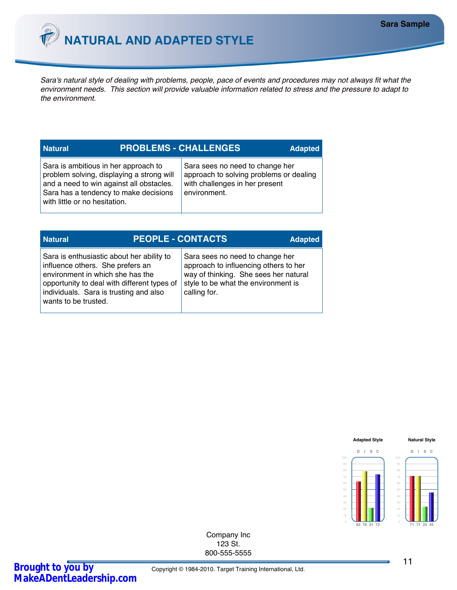

*Sara's natural style of dealing with problems, people, pace of events and procedures may not always fit what the environment needs. This section will provide valuable information related to stress and the pressure to adapt to the environment.*

| <b>PROBLEMS - CHALLENGES</b><br><b>Natural</b><br><b>Adapted</b>                                                                                                                                        |  |                                                                                                                              |  |
|---------------------------------------------------------------------------------------------------------------------------------------------------------------------------------------------------------|--|------------------------------------------------------------------------------------------------------------------------------|--|
| Sara is ambitious in her approach to<br>problem solving, displaying a strong will<br>and a need to win against all obstacles.<br>Sara has a tendency to make decisions<br>with little or no hesitation. |  | Sara sees no need to change her<br>approach to solving problems or dealing<br>with challenges in her present<br>environment. |  |

| <b>Natural</b>                                                                                                                                                                                                                     | <b>PEOPLE - CONTACTS</b> |              |                                                                                                                                                          | <b>Adapted</b> |
|------------------------------------------------------------------------------------------------------------------------------------------------------------------------------------------------------------------------------------|--------------------------|--------------|----------------------------------------------------------------------------------------------------------------------------------------------------------|----------------|
| Sara is enthusiastic about her ability to<br>influence others. She prefers an<br>environment in which she has the<br>opportunity to deal with different types of<br>individuals. Sara is trusting and also<br>wants to be trusted. |                          | calling for. | Sara sees no need to change her<br>approach to influencing others to her<br>way of thinking. She sees her natural<br>style to be what the environment is |                |

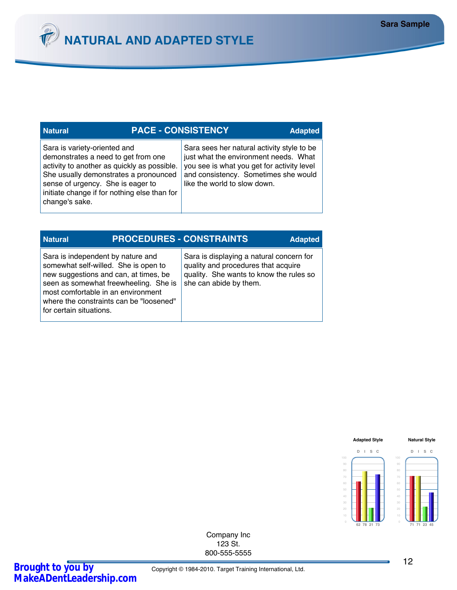

### **Natural PACE - CONSISTENCY**

Sara is variety-oriented and demonstrates a need to get from one activity to another as quickly as possible. She usually demonstrates a pronounced sense of urgency. She is eager to initiate change if for nothing else than for change's sake.

Sara sees her natural activity style to be just what the environment needs. What you see is what you get for activity level and consistency. Sometimes she would like the world to slow down.

**Adapted**

| <b>Natural</b>                                                                                                                                                                      |                                                                                  | <b>PROCEDURES - CONSTRAINTS</b>                                                                                                                      | <b>Adapted</b> |
|-------------------------------------------------------------------------------------------------------------------------------------------------------------------------------------|----------------------------------------------------------------------------------|------------------------------------------------------------------------------------------------------------------------------------------------------|----------------|
| Sara is independent by nature and<br>somewhat self-willed. She is open to<br>new suggestions and can, at times, be<br>most comfortable in an environment<br>for certain situations. | seen as somewhat freewheeling. She is<br>where the constraints can be "loosened" | Sara is displaying a natural concern for<br>quality and procedures that acquire<br>quality. She wants to know the rules so<br>she can abide by them. |                |

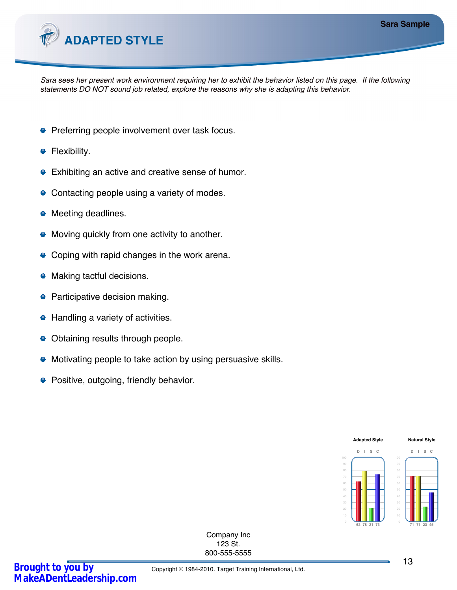

*Sara sees her present work environment requiring her to exhibit the behavior listed on this page. If the following statements DO NOT sound job related, explore the reasons why she is adapting this behavior.*

- **•** Preferring people involvement over task focus.
- Flexibility.
- Exhibiting an active and creative sense of humor.  $\bullet$
- Contacting people using a variety of modes.
- Meeting deadlines.
- Moving quickly from one activity to another. 0
- Coping with rapid changes in the work arena.
- Making tactful decisions.  $\bullet$
- Participative decision making.
- Handling a variety of activities.
- Obtaining results through people.  $\bullet$
- Motivating people to take action by using persuasive skills.
- **•** Positive, outgoing, friendly behavior.

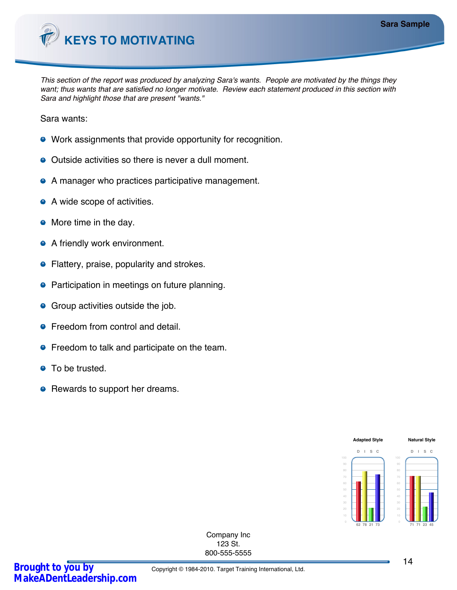

*This section of the report was produced by analyzing Sara's wants. People are motivated by the things they want; thus wants that are satisfied no longer motivate. Review each statement produced in this section with Sara and highlight those that are present "wants."*

Sara wants:

- Work assignments that provide opportunity for recognition.
- Outside activities so there is never a dull moment.
- A manager who practices participative management.
- A wide scope of activities.
- More time in the day.
- A friendly work environment.
- **•** Flattery, praise, popularity and strokes.
- **•** Participation in meetings on future planning.
- **•** Group activities outside the job.
- **•** Freedom from control and detail.
- **•** Freedom to talk and participate on the team.
- To be trusted.  $\bullet$
- Rewards to support her dreams.

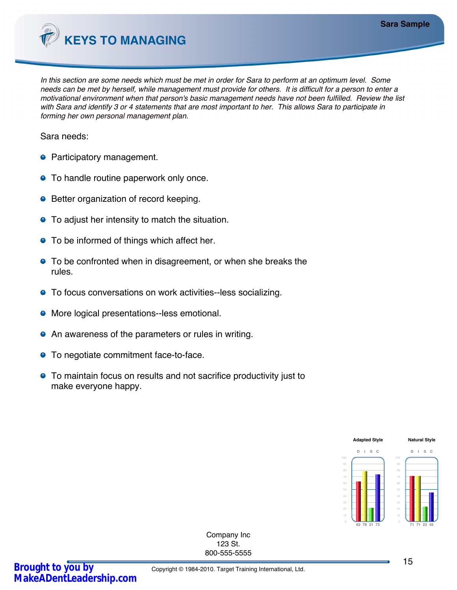

*In this section are some needs which must be met in order for Sara to perform at an optimum level. Some needs can be met by herself, while management must provide for others. It is difficult for a person to enter a motivational environment when that person's basic management needs have not been fulfilled. Review the list with Sara and identify 3 or 4 statements that are most important to her. This allows Sara to participate in forming her own personal management plan.*

Sara needs:

- Participatory management.
- **•** To handle routine paperwork only once.
- **•** Better organization of record keeping.
- To adjust her intensity to match the situation.
- To be informed of things which affect her.
- To be confronted when in disagreement, or when she breaks the rules.
- To focus conversations on work activities--less socializing.
- **•** More logical presentations--less emotional.
- An awareness of the parameters or rules in writing.
- **•** To negotiate commitment face-to-face.
- To maintain focus on results and not sacrifice productivity just to make everyone happy.

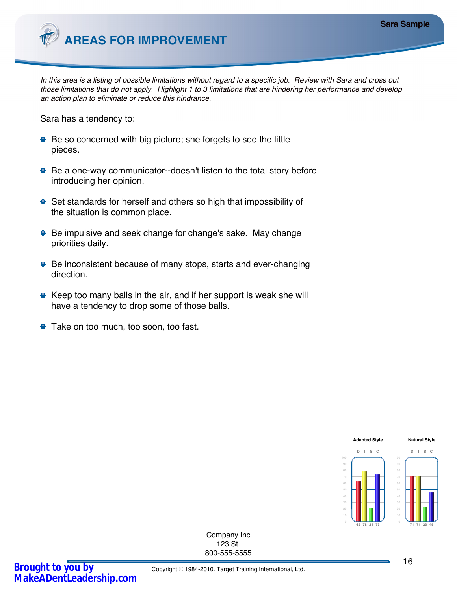

*In this area is a listing of possible limitations without regard to a specific job. Review with Sara and cross out those limitations that do not apply. Highlight 1 to 3 limitations that are hindering her performance and develop an action plan to eliminate or reduce this hindrance.*

Sara has a tendency to:

- Be so concerned with big picture; she forgets to see the little pieces.
- Be a one-way communicator--doesn't listen to the total story before introducing her opinion.
- Set standards for herself and others so high that impossibility of the situation is common place.
- Be impulsive and seek change for change's sake. May change priorities daily.
- Be inconsistent because of many stops, starts and ever-changing direction.
- Keep too many balls in the air, and if her support is weak she will have a tendency to drop some of those balls.
- **•** Take on too much, too soon, too fast.

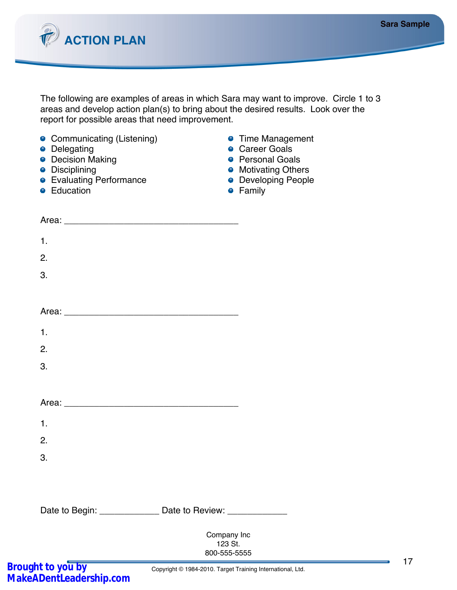17



The following are examples of areas in which Sara may want to improve. Circle 1 to 3 areas and develop action plan(s) to bring about the desired results. Look over the report for possible areas that need improvement.

| • Communicating (Listening)<br>• Delegating<br>• Decision Making<br>• Disciplining<br>• Evaluating Performance<br>• Education |                                                            | • Time Management<br>• Career Goals<br>• Personal Goals<br>• Motivating Others<br>• Developing People<br><b>•</b> Family |  |
|-------------------------------------------------------------------------------------------------------------------------------|------------------------------------------------------------|--------------------------------------------------------------------------------------------------------------------------|--|
|                                                                                                                               |                                                            |                                                                                                                          |  |
| $\mathbf 1$ .                                                                                                                 |                                                            |                                                                                                                          |  |
| 2.                                                                                                                            |                                                            |                                                                                                                          |  |
| 3.                                                                                                                            |                                                            |                                                                                                                          |  |
|                                                                                                                               |                                                            |                                                                                                                          |  |
|                                                                                                                               |                                                            |                                                                                                                          |  |
| 1.                                                                                                                            |                                                            |                                                                                                                          |  |
| 2.                                                                                                                            |                                                            |                                                                                                                          |  |
| 3.                                                                                                                            |                                                            |                                                                                                                          |  |
|                                                                                                                               |                                                            |                                                                                                                          |  |
|                                                                                                                               |                                                            |                                                                                                                          |  |
| 1.                                                                                                                            |                                                            |                                                                                                                          |  |
| 2.                                                                                                                            |                                                            |                                                                                                                          |  |
| 3.                                                                                                                            |                                                            |                                                                                                                          |  |
|                                                                                                                               |                                                            |                                                                                                                          |  |
|                                                                                                                               |                                                            |                                                                                                                          |  |
| Date to Begin: _________________ Date to Review: ____________                                                                 |                                                            |                                                                                                                          |  |
|                                                                                                                               | Company Inc<br>123 St.<br>800-555-5555                     |                                                                                                                          |  |
| Brought to you by<br>MakeADentLeadership.com                                                                                  | Copyright © 1984-2010. Target Training International, Ltd. |                                                                                                                          |  |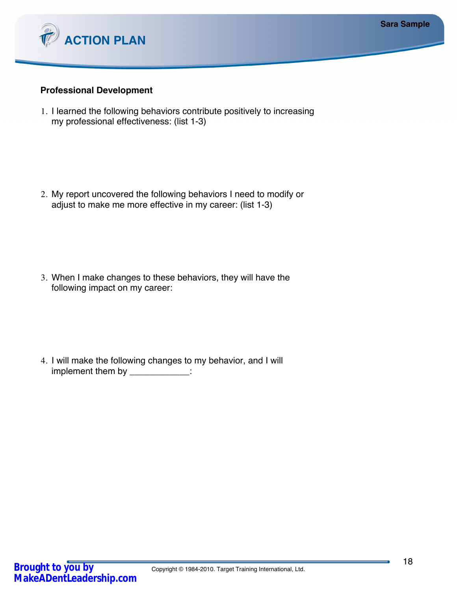



## **Professional Development**

1. I learned the following behaviors contribute positively to increasing my professional effectiveness: (list 1-3)

2. My report uncovered the following behaviors I need to modify or adjust to make me more effective in my career: (list 1-3)

3. When I make changes to these behaviors, they will have the following impact on my career:

4. I will make the following changes to my behavior, and I will implement them by \_\_\_\_\_\_\_\_\_\_\_\_\_: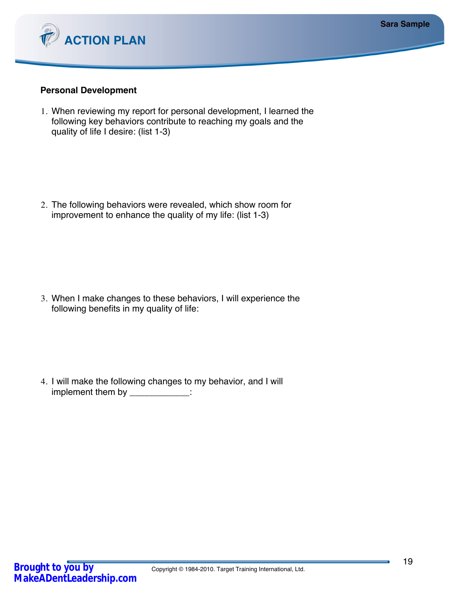



### **Personal Development**

1. When reviewing my report for personal development, I learned the following key behaviors contribute to reaching my goals and the quality of life I desire: (list 1-3)

2. The following behaviors were revealed, which show room for improvement to enhance the quality of my life: (list 1-3)

3. When I make changes to these behaviors, I will experience the following benefits in my quality of life:

4. I will make the following changes to my behavior, and I will implement them by \_\_\_\_\_\_\_\_\_\_\_\_\_: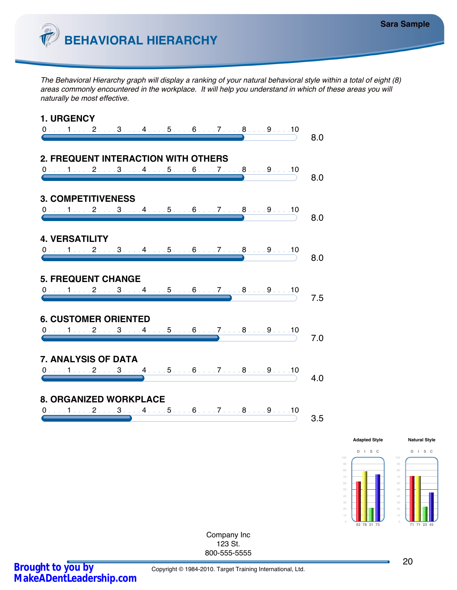

*The Behavioral Hierarchy graph will display a ranking of your natural behavioral style within a total of eight (8) areas commonly encountered in the workplace. It will help you understand in which of these areas you will naturally be most effective.*



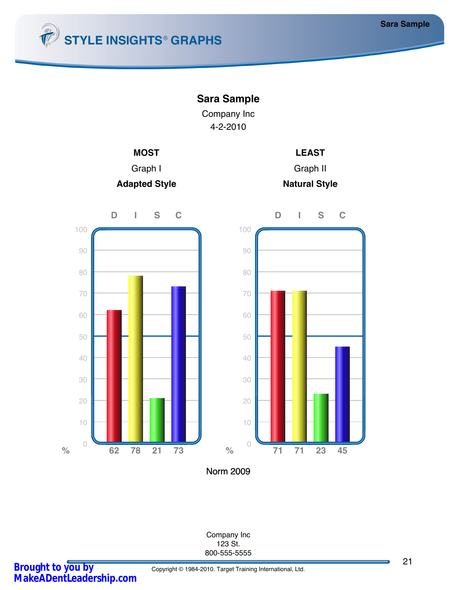







**Natural Style**



Norm 2009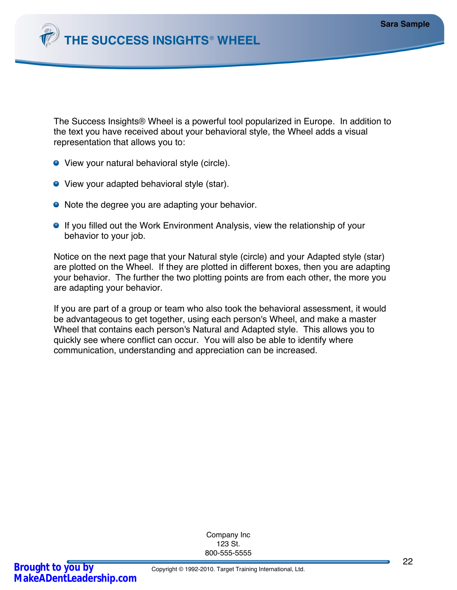

The Success Insights® Wheel is a powerful tool popularized in Europe. In addition to the text you have received about your behavioral style, the Wheel adds a visual representation that allows you to:

- View your natural behavioral style (circle).
- **•** View your adapted behavioral style (star).
- Note the degree you are adapting your behavior.
- **If you filled out the Work Environment Analysis, view the relationship of your** behavior to your job.

Notice on the next page that your Natural style (circle) and your Adapted style (star) are plotted on the Wheel. If they are plotted in different boxes, then you are adapting your behavior. The further the two plotting points are from each other, the more you are adapting your behavior.

If you are part of a group or team who also took the behavioral assessment, it would be advantageous to get together, using each person's Wheel, and make a master Wheel that contains each person's Natural and Adapted style. This allows you to quickly see where conflict can occur. You will also be able to identify where communication, understanding and appreciation can be increased.